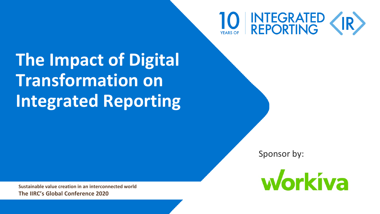# 10 NTEGRATED (IR)

**The Impact of Digital Transformation on Integrated Reporting**

Sponsor by:



**Sustainable value creation in an interconnected world The IIRC's Global Conference 2020**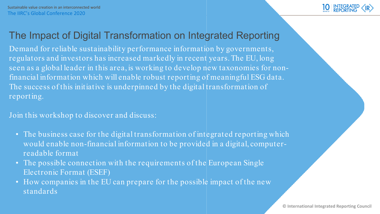### The Impact of Digital Transformation on Integrated Reporting

Demand for reliable sustainability performance information by governments, regulators and investors has increased markedly in recent years. The EU, long seen as a global leader in this area, is working to develop new taxonomies for nonfinancial information which will enable robust reporting of meaningful ESG data. The success of this initiative is underpinned by the digital transformation of reporting.

Join this workshop to discover and discuss:

- The business case for the digital transformation of integrated reporting which would enable non-financial information to be provided in a digital, computerreadable format
- The possible connection with the requirements of the European Single Electronic Format (ESEF)
- How companies in the EU can prepare for the possible impact of the new **The IIRC's Global Conference 2019**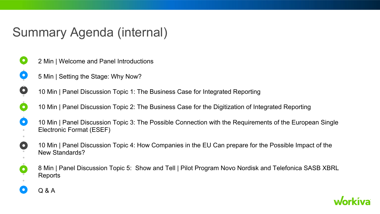## Summary Agenda (internal)

- 2 Min | Welcome and Panel Introductions
- 5 Min | Setting the Stage: Why Now?
- 10 Min | Panel Discussion Topic 1: The Business Case for Integrated Reporting
- 10 Min | Panel Discussion Topic 2: The Business Case for the Digitization of Integrated Reporting
- 10 Min | Panel Discussion Topic 3: The Possible Connection with the Requirements of the European Single Electronic Format (ESEF)
- 10 Min | Panel Discussion Topic 4: How Companies in the EU Can prepare for the Possible Impact of the New Standards?
- 8 Min | Panel Discussion Topic 5: Show and Tell | Pilot Program Novo Nordisk and Telefonica SASB XBRL Reports



O

O

 $\bullet$ 

O

O

 $\bullet$ 

 $\bullet$ 

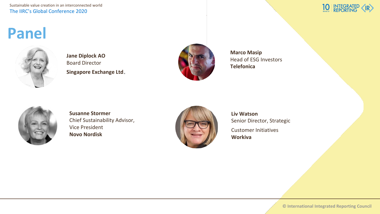Sustainable value creation in an interconnected world The IIRC's Global Conference 2020

#### **INTEGRATED**<br>REPORTING

## **Panel**



**Jane Diplock AO** Board Director **Singapore Exchange Ltd**.



**Marco Masip** Head of ESG Investors **Telefonica**



**Susanne Stormer** Chief Sustainability Advisor, Vice President **Novo Nordisk**



**Liv Watson** Senior Director, Strategic Customer Initiatives

**Workiva**